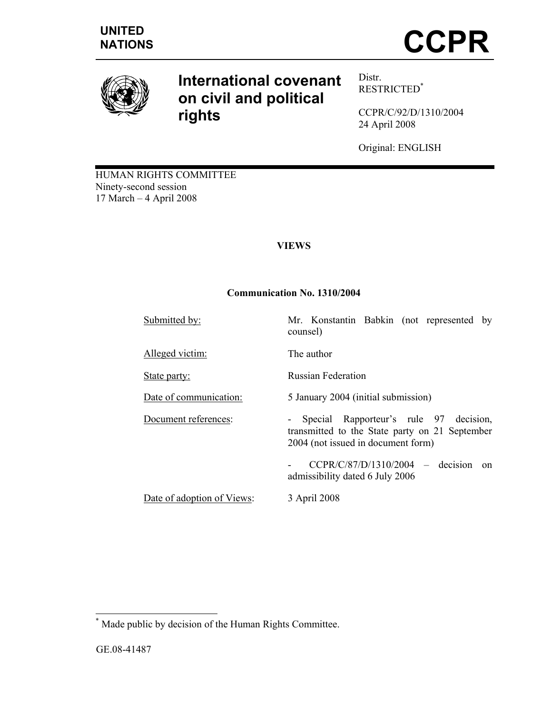

# **International covenant on civil and political rights**

Distr. RESTRICTED\*

CCPR/C/92/D/1310/2004 24 April 2008

Original: ENGLISH

HUMAN RIGHTS COMMITTEE Ninety-second session 17 March – 4 April 2008

# **VIEWS**

# **Communication No. 1310/2004**

Submitted by: Mr. Konstantin Babkin (not represented by

counsel) Alleged victim: The author State party: Russian Federation Date of communication: 5 January 2004 (initial submission) Document references: - Special Rapporteur's rule 97 decision, transmitted to the State party on 21 September 2004 (not issued in document form) - CCPR/C/87/D/1310/2004 – decision on

admissibility dated 6 July 2006

Date of adoption of Views: 3 April 2008

\* Made public by decision of the Human Rights Committee.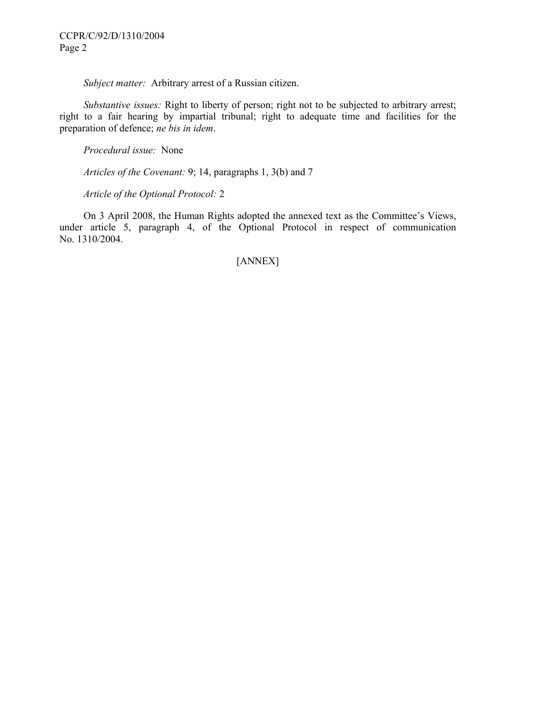*Subject matter:* Arbitrary arrest of a Russian citizen.

 *Substantive issues:* Right to liberty of person; right not to be subjected to arbitrary arrest; right to a fair hearing by impartial tribunal; right to adequate time and facilities for the preparation of defence; *ne bis in idem*.

 *Procedural issue:* None

 *Articles of the Covenant:* 9; 14, paragraphs 1, 3(b) and 7

 *Article of the Optional Protocol:* 2

 On 3 April 2008, the Human Rights adopted the annexed text as the Committee's Views, under article 5, paragraph 4, of the Optional Protocol in respect of communication No. 1310/2004.

# [ANNEX]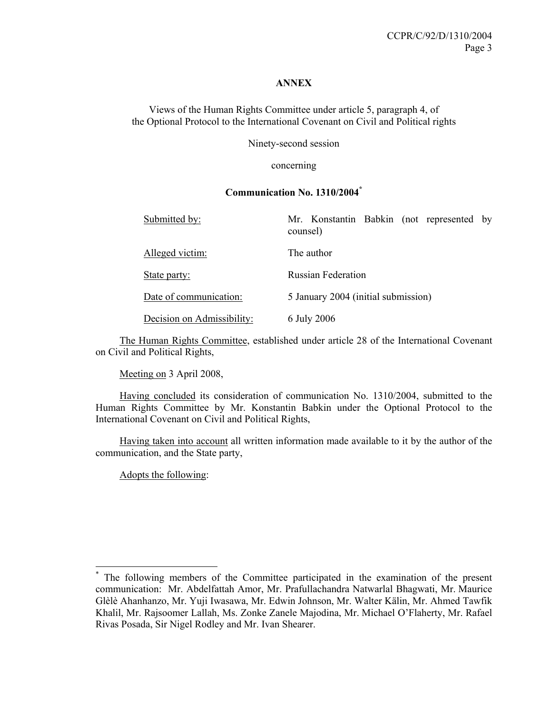#### **ANNEX**

Views of the Human Rights Committee under article 5, paragraph 4, of the Optional Protocol to the International Covenant on Civil and Political rights

Ninety-second session

concerning

#### **Communication No. 1310/2004\***

| Submitted by:              | Mr. Konstantin Babkin (not represented by<br>counsel) |
|----------------------------|-------------------------------------------------------|
| Alleged victim:            | The author                                            |
| State party:               | <b>Russian Federation</b>                             |
| Date of communication:     | 5 January 2004 (initial submission)                   |
| Decision on Admissibility: | 6 July 2006                                           |

 The Human Rights Committee, established under article 28 of the International Covenant on Civil and Political Rights,

Meeting on 3 April 2008,

 Having concluded its consideration of communication No. 1310/2004, submitted to the Human Rights Committee by Mr. Konstantin Babkin under the Optional Protocol to the International Covenant on Civil and Political Rights,

 Having taken into account all written information made available to it by the author of the communication, and the State party,

Adopts the following:

 $\overline{a}$ 

<sup>\*</sup> The following members of the Committee participated in the examination of the present communication: Mr. Abdelfattah Amor, Mr. Prafullachandra Natwarlal Bhagwati, Mr. Maurice Glèlè Ahanhanzo, Mr. Yuji Iwasawa, Mr. Edwin Johnson, Mr. Walter Kälin, Mr. Ahmed Tawfik Khalil, Mr. Rajsoomer Lallah, Ms. Zonke Zanele Majodina, Mr. Michael O'Flaherty, Mr. Rafael Rivas Posada, Sir Nigel Rodley and Mr. Ivan Shearer.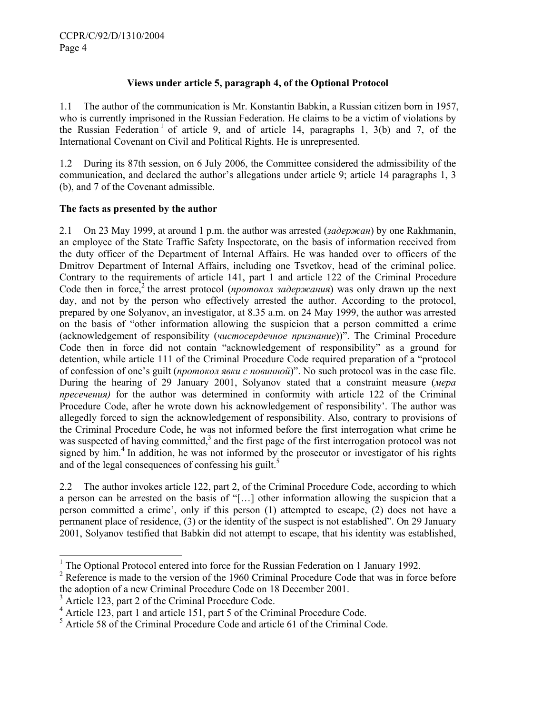## **Views under article 5, paragraph 4, of the Optional Protocol**

1.1 The author of the communication is Mr. Konstantin Babkin, a Russian citizen born in 1957, who is currently imprisoned in the Russian Federation. He claims to be a victim of violations by the Russian Federation<sup>1</sup> of article 9, and of article 14, paragraphs 1, 3(b) and 7, of the International Covenant on Civil and Political Rights. He is unrepresented.

1.2 During its 87th session, on 6 July 2006, the Committee considered the admissibility of the communication, and declared the author's allegations under article 9; article 14 paragraphs 1, 3 (b), and 7 of the Covenant admissible.

# **The facts as presented by the author**

2.1 On 23 May 1999, at around 1 p.m. the author was arrested (*задержан*) by one Rakhmanin, an employee of the State Traffic Safety Inspectorate, on the basis of information received from the duty officer of the Department of Internal Affairs. He was handed over to officers of the Dmitrov Department of Internal Affairs, including one Tsvetkov, head of the criminal police. Contrary to the requirements of article 141, part 1 and article 122 of the Criminal Procedure Code then in force,<sup>2</sup> the arrest protocol (*протокол задержания*) was only drawn up the next day, and not by the person who effectively arrested the author. According to the protocol, prepared by one Solyanov, an investigator, at 8.35 a.m. on 24 May 1999, the author was arrested on the basis of "other information allowing the suspicion that a person committed a crime (acknowledgement of responsibility (*чистосердечное признание*))". The Criminal Procedure Code then in force did not contain "acknowledgement of responsibility" as a ground for detention, while article 111 of the Criminal Procedure Code required preparation of a "protocol of confession of one's guilt (*протокол явки с повинной*)". No such protocol was in the case file. During the hearing of 29 January 2001, Solyanov stated that a constraint measure (*мера пресечения)* for the author was determined in conformity with article 122 of the Criminal Procedure Code, after he wrote down his acknowledgement of responsibility'. The author was allegedly forced to sign the acknowledgement of responsibility. Also, contrary to provisions of the Criminal Procedure Code, he was not informed before the first interrogation what crime he was suspected of having committed,<sup>3</sup> and the first page of the first interrogation protocol was not signed by him.<sup>4</sup> In addition, he was not informed by the prosecutor or investigator of his rights and of the legal consequences of confessing his guilt.<sup>5</sup>

2.2 The author invokes article 122, part 2, of the Criminal Procedure Code, according to which a person can be arrested on the basis of "[…] other information allowing the suspicion that a person committed a crime', only if this person (1) attempted to escape, (2) does not have a permanent place of residence, (3) or the identity of the suspect is not established". On 29 January 2001, Solyanov testified that Babkin did not attempt to escape, that his identity was established,

l

<sup>&</sup>lt;sup>1</sup> The Optional Protocol entered into force for the Russian Federation on 1 January 1992.

 $2^2$  Reference is made to the version of the 1960 Criminal Procedure Code that was in force before the adoption of a new Criminal Procedure Code on 18 December 2001.

<sup>&</sup>lt;sup>3</sup> Article 123, part 2 of the Criminal Procedure Code.

<sup>&</sup>lt;sup>4</sup> Article 123, part 1 and article 151, part 5 of the Criminal Procedure Code.

<sup>&</sup>lt;sup>5</sup> Article 58 of the Criminal Procedure Code and article 61 of the Criminal Code.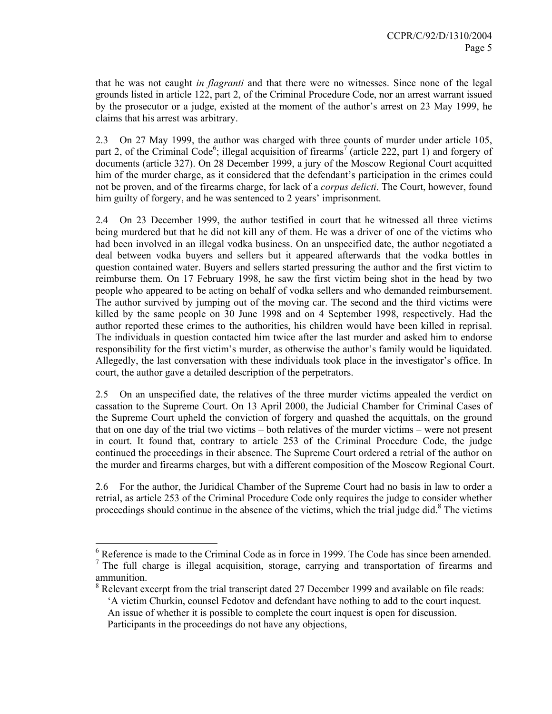that he was not caught *in flagranti* and that there were no witnesses. Since none of the legal grounds listed in article 122, part 2, of the Criminal Procedure Code, nor an arrest warrant issued by the prosecutor or a judge, existed at the moment of the author's arrest on 23 May 1999, he claims that his arrest was arbitrary.

2.3 On 27 May 1999, the author was charged with three counts of murder under article 105, part 2, of the Criminal Code<sup>6</sup>; illegal acquisition of firearms<sup>7</sup> (article 222, part 1) and forgery of documents (article 327). On 28 December 1999, a jury of the Moscow Regional Court acquitted him of the murder charge, as it considered that the defendant's participation in the crimes could not be proven, and of the firearms charge, for lack of a *corpus delicti*. The Court, however, found him guilty of forgery, and he was sentenced to 2 years' imprisonment.

2.4 On 23 December 1999, the author testified in court that he witnessed all three victims being murdered but that he did not kill any of them. He was a driver of one of the victims who had been involved in an illegal vodka business. On an unspecified date, the author negotiated a deal between vodka buyers and sellers but it appeared afterwards that the vodka bottles in question contained water. Buyers and sellers started pressuring the author and the first victim to reimburse them. On 17 February 1998, he saw the first victim being shot in the head by two people who appeared to be acting on behalf of vodka sellers and who demanded reimbursement. The author survived by jumping out of the moving car. The second and the third victims were killed by the same people on 30 June 1998 and on 4 September 1998, respectively. Had the author reported these crimes to the authorities, his children would have been killed in reprisal. The individuals in question contacted him twice after the last murder and asked him to endorse responsibility for the first victim's murder, as otherwise the author's family would be liquidated. Allegedly, the last conversation with these individuals took place in the investigator's office. In court, the author gave a detailed description of the perpetrators.

2.5 On an unspecified date, the relatives of the three murder victims appealed the verdict on cassation to the Supreme Court. On 13 April 2000, the Judicial Chamber for Criminal Cases of the Supreme Court upheld the conviction of forgery and quashed the acquittals, on the ground that on one day of the trial two victims – both relatives of the murder victims – were not present in court. It found that, contrary to article 253 of the Criminal Procedure Code, the judge continued the proceedings in their absence. The Supreme Court ordered a retrial of the author on the murder and firearms charges, but with a different composition of the Moscow Regional Court.

2.6 For the author, the Juridical Chamber of the Supreme Court had no basis in law to order a retrial, as article 253 of the Criminal Procedure Code only requires the judge to consider whether proceedings should continue in the absence of the victims, which the trial judge did.<sup>8</sup> The victims

 6 Reference is made to the Criminal Code as in force in 1999. The Code has since been amended.  $<sup>7</sup>$  The full charge is illegal acquisition, storage, carrying and transportation of firearms and</sup> ammunition.

 $8$  Relevant excerpt from the trial transcript dated 27 December 1999 and available on file reads:

<sup>&#</sup>x27;A victim Churkin, counsel Fedotov and defendant have nothing to add to the court inquest. An issue of whether it is possible to complete the court inquest is open for discussion. Participants in the proceedings do not have any objections,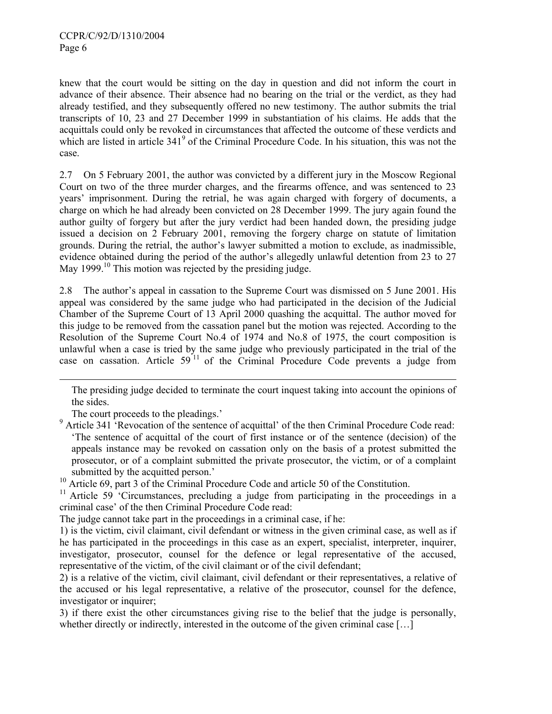knew that the court would be sitting on the day in question and did not inform the court in advance of their absence. Their absence had no bearing on the trial or the verdict, as they had already testified, and they subsequently offered no new testimony. The author submits the trial transcripts of 10, 23 and 27 December 1999 in substantiation of his claims. He adds that the acquittals could only be revoked in circumstances that affected the outcome of these verdicts and which are listed in article 341<sup>9</sup> of the Criminal Procedure Code. In his situation, this was not the case.

2.7 On 5 February 2001, the author was convicted by a different jury in the Moscow Regional Court on two of the three murder charges, and the firearms offence, and was sentenced to 23 years' imprisonment. During the retrial, he was again charged with forgery of documents, a charge on which he had already been convicted on 28 December 1999. The jury again found the author guilty of forgery but after the jury verdict had been handed down, the presiding judge issued a decision on 2 February 2001, removing the forgery charge on statute of limitation grounds. During the retrial, the author's lawyer submitted a motion to exclude, as inadmissible, evidence obtained during the period of the author's allegedly unlawful detention from 23 to 27 May 1999.<sup>10</sup> This motion was rejected by the presiding judge.

2.8 The author's appeal in cassation to the Supreme Court was dismissed on 5 June 2001. His appeal was considered by the same judge who had participated in the decision of the Judicial Chamber of the Supreme Court of 13 April 2000 quashing the acquittal. The author moved for this judge to be removed from the cassation panel but the motion was rejected. According to the Resolution of the Supreme Court No.4 of 1974 and No.8 of 1975, the court composition is unlawful when a case is tried by the same judge who previously participated in the trial of the case on cassation. Article 59<sup>11</sup> of the Criminal Procedure Code prevents a judge from

The presiding judge decided to terminate the court inquest taking into account the opinions of the sides.

The court proceeds to the pleadings.'

l

<sup>9</sup> Article 341 Revocation of the sentence of acquittal' of the then Criminal Procedure Code read: 'The sentence of acquittal of the court of first instance or of the sentence (decision) of the appeals instance may be revoked on cassation only on the basis of a protest submitted the prosecutor, or of a complaint submitted the private prosecutor, the victim, or of a complaint submitted by the acquitted person.'

<sup>10</sup> Article 69, part 3 of the Criminal Procedure Code and article 50 of the Constitution.

<sup>11</sup> Article 59 'Circumstances, precluding a judge from participating in the proceedings in a criminal case' of the then Criminal Procedure Code read:

The judge cannot take part in the proceedings in a criminal case, if he:

1) is the victim, civil claimant, civil defendant or witness in the given criminal case, as well as if he has participated in the proceedings in this case as an expert, specialist, interpreter, inquirer, investigator, prosecutor, counsel for the defence or legal representative of the accused, representative of the victim, of the civil claimant or of the civil defendant;

2) is a relative of the victim, civil claimant, civil defendant or their representatives, a relative of the accused or his legal representative, a relative of the prosecutor, counsel for the defence, investigator or inquirer;

3) if there exist the other circumstances giving rise to the belief that the judge is personally, whether directly or indirectly, interested in the outcome of the given criminal case [...]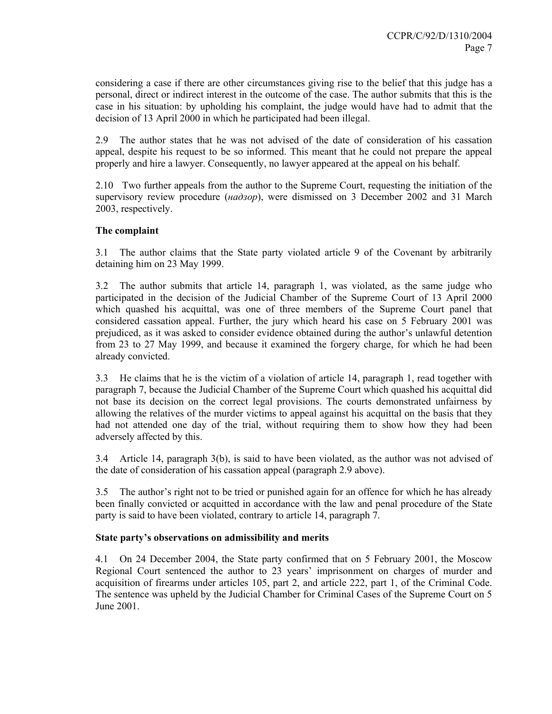considering a case if there are other circumstances giving rise to the belief that this judge has a personal, direct or indirect interest in the outcome of the case. The author submits that this is the case in his situation: by upholding his complaint, the judge would have had to admit that the decision of 13 April 2000 in which he participated had been illegal.

2.9 The author states that he was not advised of the date of consideration of his cassation appeal, despite his request to be so informed. This meant that he could not prepare the appeal properly and hire a lawyer. Consequently, no lawyer appeared at the appeal on his behalf.

2.10 Two further appeals from the author to the Supreme Court, requesting the initiation of the supervisory review procedure (*надзор*), were dismissed on 3 December 2002 and 31 March 2003, respectively.

## **The complaint**

3.1 The author claims that the State party violated article 9 of the Covenant by arbitrarily detaining him on 23 May 1999.

3.2 The author submits that article 14, paragraph 1, was violated, as the same judge who participated in the decision of the Judicial Chamber of the Supreme Court of 13 April 2000 which quashed his acquittal, was one of three members of the Supreme Court panel that considered cassation appeal. Further, the jury which heard his case on 5 February 2001 was prejudiced, as it was asked to consider evidence obtained during the author's unlawful detention from 23 to 27 May 1999, and because it examined the forgery charge, for which he had been already convicted.

3.3 He claims that he is the victim of a violation of article 14, paragraph 1, read together with paragraph 7, because the Judicial Chamber of the Supreme Court which quashed his acquittal did not base its decision on the correct legal provisions. The courts demonstrated unfairness by allowing the relatives of the murder victims to appeal against his acquittal on the basis that they had not attended one day of the trial, without requiring them to show how they had been adversely affected by this.

3.4 Article 14, paragraph 3(b), is said to have been violated, as the author was not advised of the date of consideration of his cassation appeal (paragraph 2.9 above).

3.5 The author's right not to be tried or punished again for an offence for which he has already been finally convicted or acquitted in accordance with the law and penal procedure of the State party is said to have been violated, contrary to article 14, paragraph 7.

#### **State party's observations on admissibility and merits**

4.1 On 24 December 2004, the State party confirmed that on 5 February 2001, the Moscow Regional Court sentenced the author to 23 years' imprisonment on charges of murder and acquisition of firearms under articles 105, part 2, and article 222, part 1, of the Criminal Code. The sentence was upheld by the Judicial Chamber for Criminal Cases of the Supreme Court on 5 June 2001.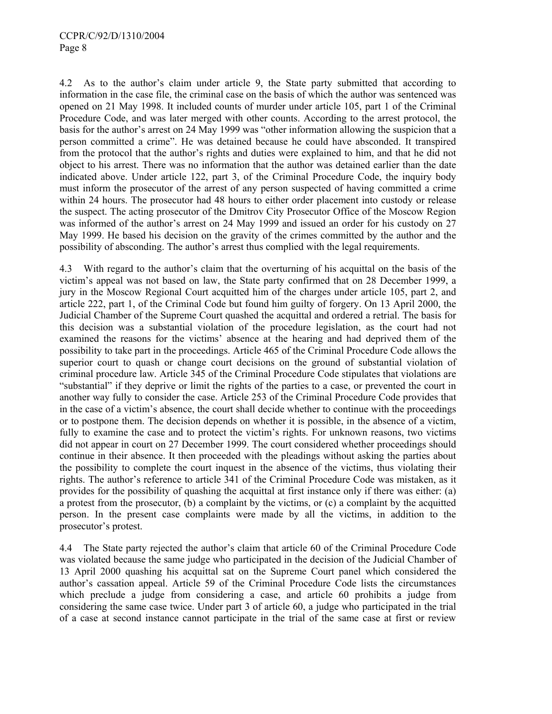4.2 As to the author's claim under article 9, the State party submitted that according to information in the case file, the criminal case on the basis of which the author was sentenced was opened on 21 May 1998. It included counts of murder under article 105, part 1 of the Criminal Procedure Code, and was later merged with other counts. According to the arrest protocol, the basis for the author's arrest on 24 May 1999 was "other information allowing the suspicion that a person committed a crime". He was detained because he could have absconded. It transpired from the protocol that the author's rights and duties were explained to him, and that he did not object to his arrest. There was no information that the author was detained earlier than the date indicated above. Under article 122, part 3, of the Criminal Procedure Code, the inquiry body must inform the prosecutor of the arrest of any person suspected of having committed a crime within 24 hours. The prosecutor had 48 hours to either order placement into custody or release the suspect. The acting prosecutor of the Dmitrov City Prosecutor Office of the Moscow Region was informed of the author's arrest on 24 May 1999 and issued an order for his custody on 27 May 1999. He based his decision on the gravity of the crimes committed by the author and the possibility of absconding. The author's arrest thus complied with the legal requirements.

4.3 With regard to the author's claim that the overturning of his acquittal on the basis of the victim's appeal was not based on law, the State party confirmed that on 28 December 1999, a jury in the Moscow Regional Court acquitted him of the charges under article 105, part 2, and article 222, part 1, of the Criminal Code but found him guilty of forgery. On 13 April 2000, the Judicial Chamber of the Supreme Court quashed the acquittal and ordered a retrial. The basis for this decision was a substantial violation of the procedure legislation, as the court had not examined the reasons for the victims' absence at the hearing and had deprived them of the possibility to take part in the proceedings. Article 465 of the Criminal Procedure Code allows the superior court to quash or change court decisions on the ground of substantial violation of criminal procedure law. Article 345 of the Criminal Procedure Code stipulates that violations are "substantial" if they deprive or limit the rights of the parties to a case, or prevented the court in another way fully to consider the case. Article 253 of the Criminal Procedure Code provides that in the case of a victim's absence, the court shall decide whether to continue with the proceedings or to postpone them. The decision depends on whether it is possible, in the absence of a victim, fully to examine the case and to protect the victim's rights. For unknown reasons, two victims did not appear in court on 27 December 1999. The court considered whether proceedings should continue in their absence. It then proceeded with the pleadings without asking the parties about the possibility to complete the court inquest in the absence of the victims, thus violating their rights. The author's reference to article 341 of the Criminal Procedure Code was mistaken, as it provides for the possibility of quashing the acquittal at first instance only if there was either: (a) a protest from the prosecutor, (b) a complaint by the victims, or (c) a complaint by the acquitted person. In the present case complaints were made by all the victims, in addition to the prosecutor's protest.

4.4 The State party rejected the author's claim that article 60 of the Criminal Procedure Code was violated because the same judge who participated in the decision of the Judicial Chamber of 13 April 2000 quashing his acquittal sat on the Supreme Court panel which considered the author's cassation appeal. Article 59 of the Criminal Procedure Code lists the circumstances which preclude a judge from considering a case, and article 60 prohibits a judge from considering the same case twice. Under part 3 of article 60, a judge who participated in the trial of a case at second instance cannot participate in the trial of the same case at first or review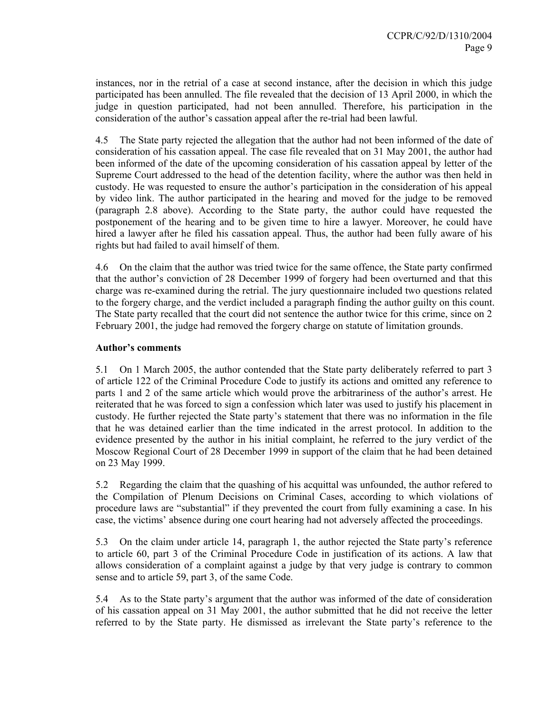instances, nor in the retrial of a case at second instance, after the decision in which this judge participated has been annulled. The file revealed that the decision of 13 April 2000, in which the judge in question participated, had not been annulled. Therefore, his participation in the consideration of the author's cassation appeal after the re-trial had been lawful.

4.5 The State party rejected the allegation that the author had not been informed of the date of consideration of his cassation appeal. The case file revealed that on 31 May 2001, the author had been informed of the date of the upcoming consideration of his cassation appeal by letter of the Supreme Court addressed to the head of the detention facility, where the author was then held in custody. He was requested to ensure the author's participation in the consideration of his appeal by video link. The author participated in the hearing and moved for the judge to be removed (paragraph 2.8 above). According to the State party, the author could have requested the postponement of the hearing and to be given time to hire a lawyer. Moreover, he could have hired a lawyer after he filed his cassation appeal. Thus, the author had been fully aware of his rights but had failed to avail himself of them.

4.6 On the claim that the author was tried twice for the same offence, the State party confirmed that the author's conviction of 28 December 1999 of forgery had been overturned and that this charge was re-examined during the retrial. The jury questionnaire included two questions related to the forgery charge, and the verdict included a paragraph finding the author guilty on this count. The State party recalled that the court did not sentence the author twice for this crime, since on 2 February 2001, the judge had removed the forgery charge on statute of limitation grounds.

## **Author's comments**

5.1 On 1 March 2005, the author contended that the State party deliberately referred to part 3 of article 122 of the Criminal Procedure Code to justify its actions and omitted any reference to parts 1 and 2 of the same article which would prove the arbitrariness of the author's arrest. He reiterated that he was forced to sign a confession which later was used to justify his placement in custody. He further rejected the State party's statement that there was no information in the file that he was detained earlier than the time indicated in the arrest protocol. In addition to the evidence presented by the author in his initial complaint, he referred to the jury verdict of the Moscow Regional Court of 28 December 1999 in support of the claim that he had been detained on 23 May 1999.

5.2 Regarding the claim that the quashing of his acquittal was unfounded, the author refered to the Compilation of Plenum Decisions on Criminal Cases, according to which violations of procedure laws are "substantial" if they prevented the court from fully examining a case. In his case, the victims' absence during one court hearing had not adversely affected the proceedings.

5.3 On the claim under article 14, paragraph 1, the author rejected the State party's reference to article 60, part 3 of the Criminal Procedure Code in justification of its actions. A law that allows consideration of a complaint against a judge by that very judge is contrary to common sense and to article 59, part 3, of the same Code.

5.4 As to the State party's argument that the author was informed of the date of consideration of his cassation appeal on 31 May 2001, the author submitted that he did not receive the letter referred to by the State party. He dismissed as irrelevant the State party's reference to the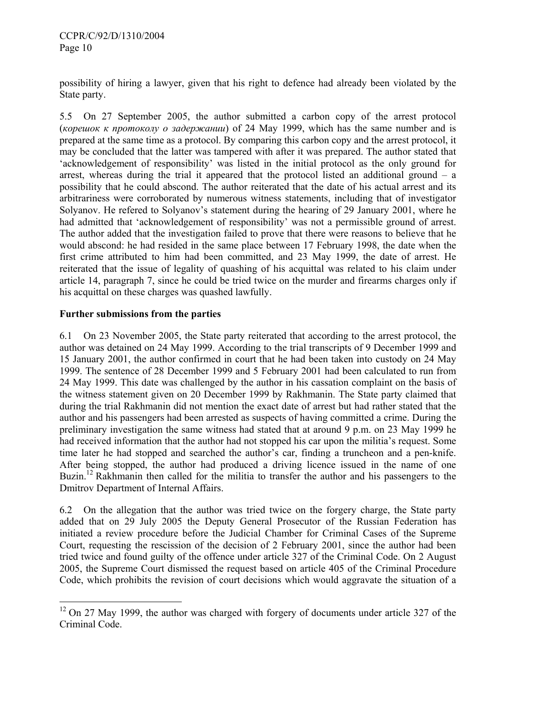possibility of hiring a lawyer, given that his right to defence had already been violated by the State party.

5.5 On 27 September 2005, the author submitted a carbon copy of the arrest protocol (*корешок к протоколу о задержании*) of 24 May 1999, which has the same number and is prepared at the same time as a protocol. By comparing this carbon copy and the arrest protocol, it may be concluded that the latter was tampered with after it was prepared. The author stated that 'acknowledgement of responsibility' was listed in the initial protocol as the only ground for arrest, whereas during the trial it appeared that the protocol listed an additional ground  $-$  a possibility that he could abscond. The author reiterated that the date of his actual arrest and its arbitrariness were corroborated by numerous witness statements, including that of investigator Solyanov. He refered to Solyanov's statement during the hearing of 29 January 2001, where he had admitted that 'acknowledgement of responsibility' was not a permissible ground of arrest. The author added that the investigation failed to prove that there were reasons to believe that he would abscond: he had resided in the same place between 17 February 1998, the date when the first crime attributed to him had been committed, and 23 May 1999, the date of arrest. He reiterated that the issue of legality of quashing of his acquittal was related to his claim under article 14, paragraph 7, since he could be tried twice on the murder and firearms charges only if his acquittal on these charges was quashed lawfully.

## **Further submissions from the parties**

 $\overline{a}$ 

6.1 On 23 November 2005, the State party reiterated that according to the arrest protocol, the author was detained on 24 May 1999. According to the trial transcripts of 9 December 1999 and 15 January 2001, the author confirmed in court that he had been taken into custody on 24 May 1999. The sentence of 28 December 1999 and 5 February 2001 had been calculated to run from 24 May 1999. This date was challenged by the author in his cassation complaint on the basis of the witness statement given on 20 December 1999 by Rakhmanin. The State party claimed that during the trial Rakhmanin did not mention the exact date of arrest but had rather stated that the author and his passengers had been arrested as suspects of having committed a crime. During the preliminary investigation the same witness had stated that at around 9 p.m. on 23 May 1999 he had received information that the author had not stopped his car upon the militia's request. Some time later he had stopped and searched the author's car, finding a truncheon and a pen-knife. After being stopped, the author had produced a driving licence issued in the name of one Buzin.<sup>12</sup> Rakhmanin then called for the militia to transfer the author and his passengers to the Dmitrov Department of Internal Affairs.

6.2 On the allegation that the author was tried twice on the forgery charge, the State party added that on 29 July 2005 the Deputy General Prosecutor of the Russian Federation has initiated a review procedure before the Judicial Chamber for Criminal Cases of the Supreme Court, requesting the rescission of the decision of 2 February 2001, since the author had been tried twice and found guilty of the offence under article 327 of the Criminal Code. On 2 August 2005, the Supreme Court dismissed the request based on article 405 of the Criminal Procedure Code, which prohibits the revision of court decisions which would aggravate the situation of a

 $12$  On 27 May 1999, the author was charged with forgery of documents under article 327 of the Criminal Code.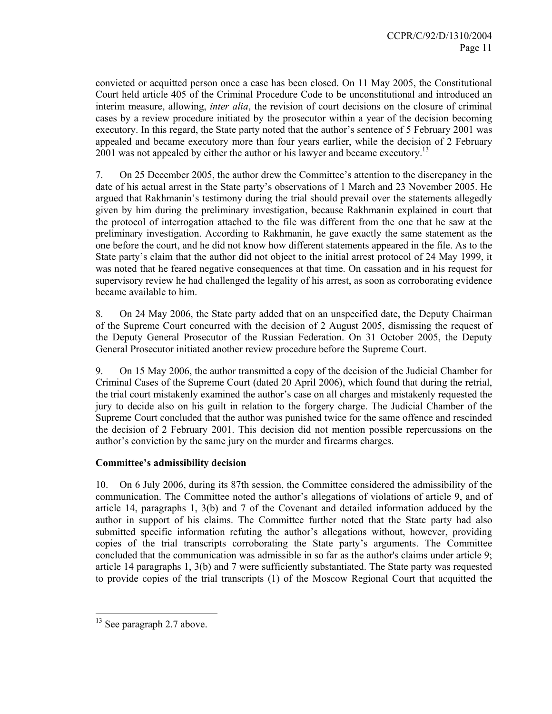convicted or acquitted person once a case has been closed. On 11 May 2005, the Constitutional Court held article 405 of the Criminal Procedure Code to be unconstitutional and introduced an interim measure, allowing, *inter alia*, the revision of court decisions on the closure of criminal cases by a review procedure initiated by the prosecutor within a year of the decision becoming executory. In this regard, the State party noted that the author's sentence of 5 February 2001 was appealed and became executory more than four years earlier, while the decision of 2 February 2001 was not appealed by either the author or his lawyer and became executory.<sup>13</sup>

7. On 25 December 2005, the author drew the Committee's attention to the discrepancy in the date of his actual arrest in the State party's observations of 1 March and 23 November 2005. He argued that Rakhmanin's testimony during the trial should prevail over the statements allegedly given by him during the preliminary investigation, because Rakhmanin explained in court that the protocol of interrogation attached to the file was different from the one that he saw at the preliminary investigation. According to Rakhmanin, he gave exactly the same statement as the one before the court, and he did not know how different statements appeared in the file. As to the State party's claim that the author did not object to the initial arrest protocol of 24 May 1999, it was noted that he feared negative consequences at that time. On cassation and in his request for supervisory review he had challenged the legality of his arrest, as soon as corroborating evidence became available to him.

8. On 24 May 2006, the State party added that on an unspecified date, the Deputy Chairman of the Supreme Court concurred with the decision of 2 August 2005, dismissing the request of the Deputy General Prosecutor of the Russian Federation. On 31 October 2005, the Deputy General Prosecutor initiated another review procedure before the Supreme Court.

9. On 15 May 2006, the author transmitted a copy of the decision of the Judicial Chamber for Criminal Cases of the Supreme Court (dated 20 April 2006), which found that during the retrial, the trial court mistakenly examined the author's case on all charges and mistakenly requested the jury to decide also on his guilt in relation to the forgery charge. The Judicial Chamber of the Supreme Court concluded that the author was punished twice for the same offence and rescinded the decision of 2 February 2001. This decision did not mention possible repercussions on the author's conviction by the same jury on the murder and firearms charges.

## **Committee's admissibility decision**

10. On 6 July 2006, during its 87th session, the Committee considered the admissibility of the communication. The Committee noted the author's allegations of violations of article 9, and of article 14, paragraphs 1, 3(b) and 7 of the Covenant and detailed information adduced by the author in support of his claims. The Committee further noted that the State party had also submitted specific information refuting the author's allegations without, however, providing copies of the trial transcripts corroborating the State party's arguments. The Committee concluded that the communication was admissible in so far as the author's claims under article 9; article 14 paragraphs 1, 3(b) and 7 were sufficiently substantiated. The State party was requested to provide copies of the trial transcripts (1) of the Moscow Regional Court that acquitted the

 $\overline{a}$ 

<sup>&</sup>lt;sup>13</sup> See paragraph 2.7 above.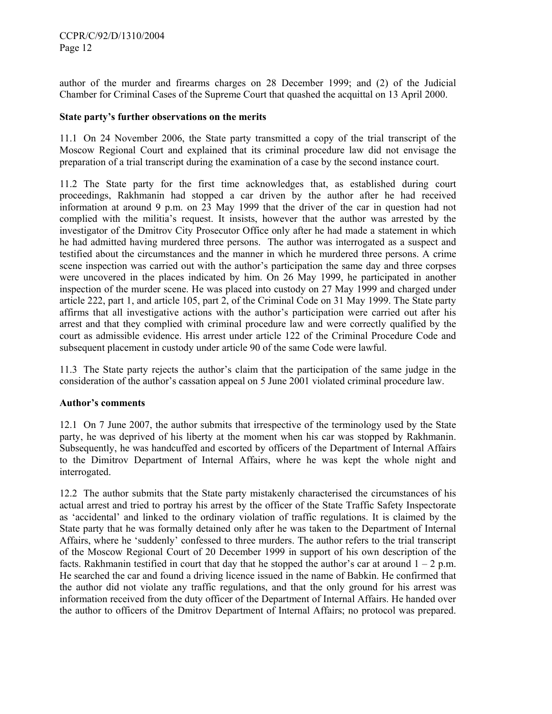author of the murder and firearms charges on 28 December 1999; and (2) of the Judicial Chamber for Criminal Cases of the Supreme Court that quashed the acquittal on 13 April 2000.

## **State party's further observations on the merits**

11.1 On 24 November 2006, the State party transmitted a copy of the trial transcript of the Moscow Regional Court and explained that its criminal procedure law did not envisage the preparation of a trial transcript during the examination of a case by the second instance court.

11.2 The State party for the first time acknowledges that, as established during court proceedings, Rakhmanin had stopped a car driven by the author after he had received information at around 9 p.m. on 23 May 1999 that the driver of the car in question had not complied with the militia's request. It insists, however that the author was arrested by the investigator of the Dmitrov City Prosecutor Office only after he had made a statement in which he had admitted having murdered three persons. The author was interrogated as a suspect and testified about the circumstances and the manner in which he murdered three persons. A crime scene inspection was carried out with the author's participation the same day and three corpses were uncovered in the places indicated by him. On 26 May 1999, he participated in another inspection of the murder scene. He was placed into custody on 27 May 1999 and charged under article 222, part 1, and article 105, part 2, of the Criminal Code on 31 May 1999. The State party affirms that all investigative actions with the author's participation were carried out after his arrest and that they complied with criminal procedure law and were correctly qualified by the court as admissible evidence. His arrest under article 122 of the Criminal Procedure Code and subsequent placement in custody under article 90 of the same Code were lawful.

11.3 The State party rejects the author's claim that the participation of the same judge in the consideration of the author's cassation appeal on 5 June 2001 violated criminal procedure law.

#### **Author's comments**

12.1 On 7 June 2007, the author submits that irrespective of the terminology used by the State party, he was deprived of his liberty at the moment when his car was stopped by Rakhmanin. Subsequently, he was handcuffed and escorted by officers of the Department of Internal Affairs to the Dimitrov Department of Internal Affairs, where he was kept the whole night and interrogated.

12.2 The author submits that the State party mistakenly characterised the circumstances of his actual arrest and tried to portray his arrest by the officer of the State Traffic Safety Inspectorate as 'accidental' and linked to the ordinary violation of traffic regulations. It is claimed by the State party that he was formally detained only after he was taken to the Department of Internal Affairs, where he 'suddenly' confessed to three murders. The author refers to the trial transcript of the Moscow Regional Court of 20 December 1999 in support of his own description of the facts. Rakhmanin testified in court that day that he stopped the author's car at around  $1 - 2$  p.m. He searched the car and found a driving licence issued in the name of Babkin. He confirmed that the author did not violate any traffic regulations, and that the only ground for his arrest was information received from the duty officer of the Department of Internal Affairs. He handed over the author to officers of the Dmitrov Department of Internal Affairs; no protocol was prepared.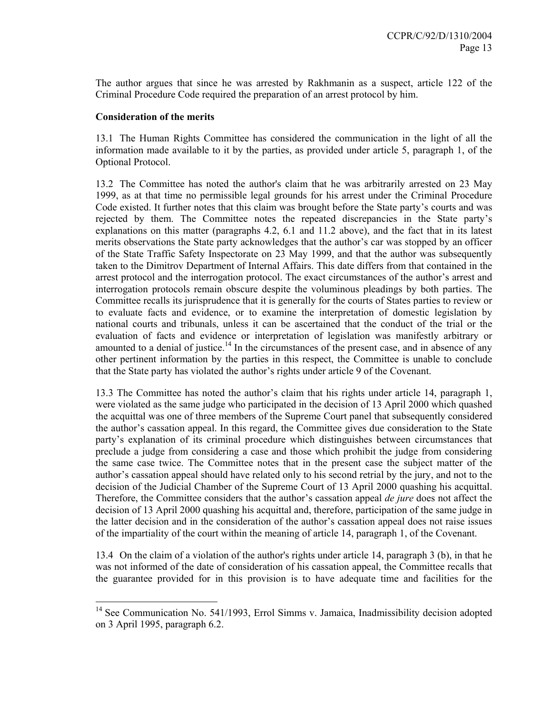The author argues that since he was arrested by Rakhmanin as a suspect, article 122 of the Criminal Procedure Code required the preparation of an arrest protocol by him.

#### **Consideration of the merits**

 $\overline{a}$ 

13.1 The Human Rights Committee has considered the communication in the light of all the information made available to it by the parties, as provided under article 5, paragraph 1, of the Optional Protocol.

13.2 The Committee has noted the author's claim that he was arbitrarily arrested on 23 May 1999, as at that time no permissible legal grounds for his arrest under the Criminal Procedure Code existed. It further notes that this claim was brought before the State party's courts and was rejected by them. The Committee notes the repeated discrepancies in the State party's explanations on this matter (paragraphs 4.2, 6.1 and 11.2 above), and the fact that in its latest merits observations the State party acknowledges that the author's car was stopped by an officer of the State Traffic Safety Inspectorate on 23 May 1999, and that the author was subsequently taken to the Dimitrov Department of Internal Affairs. This date differs from that contained in the arrest protocol and the interrogation protocol. The exact circumstances of the author's arrest and interrogation protocols remain obscure despite the voluminous pleadings by both parties. The Committee recalls its jurisprudence that it is generally for the courts of States parties to review or to evaluate facts and evidence, or to examine the interpretation of domestic legislation by national courts and tribunals, unless it can be ascertained that the conduct of the trial or the evaluation of facts and evidence or interpretation of legislation was manifestly arbitrary or amounted to a denial of justice.<sup>14</sup> In the circumstances of the present case, and in absence of any other pertinent information by the parties in this respect, the Committee is unable to conclude that the State party has violated the author's rights under article 9 of the Covenant.

13.3 The Committee has noted the author's claim that his rights under article 14, paragraph 1, were violated as the same judge who participated in the decision of 13 April 2000 which quashed the acquittal was one of three members of the Supreme Court panel that subsequently considered the author's cassation appeal. In this regard, the Committee gives due consideration to the State party's explanation of its criminal procedure which distinguishes between circumstances that preclude a judge from considering a case and those which prohibit the judge from considering the same case twice. The Committee notes that in the present case the subject matter of the author's cassation appeal should have related only to his second retrial by the jury, and not to the decision of the Judicial Chamber of the Supreme Court of 13 April 2000 quashing his acquittal. Therefore, the Committee considers that the author's cassation appeal *de jure* does not affect the decision of 13 April 2000 quashing his acquittal and, therefore, participation of the same judge in the latter decision and in the consideration of the author's cassation appeal does not raise issues of the impartiality of the court within the meaning of article 14, paragraph 1, of the Covenant.

13.4 On the claim of a violation of the author's rights under article 14, paragraph 3 (b), in that he was not informed of the date of consideration of his cassation appeal, the Committee recalls that the guarantee provided for in this provision is to have adequate time and facilities for the

 $14$  See Communication No. 541/1993, Errol Simms v. Jamaica, Inadmissibility decision adopted on 3 April 1995, paragraph 6.2.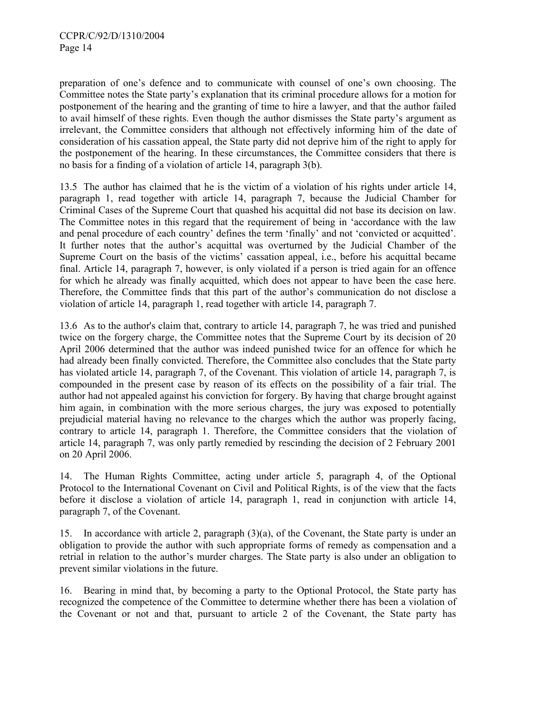preparation of one's defence and to communicate with counsel of one's own choosing. The Committee notes the State party's explanation that its criminal procedure allows for a motion for postponement of the hearing and the granting of time to hire a lawyer, and that the author failed to avail himself of these rights. Even though the author dismisses the State party's argument as irrelevant, the Committee considers that although not effectively informing him of the date of consideration of his cassation appeal, the State party did not deprive him of the right to apply for the postponement of the hearing. In these circumstances, the Committee considers that there is no basis for a finding of a violation of article 14, paragraph 3(b).

13.5 The author has claimed that he is the victim of a violation of his rights under article 14, paragraph 1, read together with article 14, paragraph 7, because the Judicial Chamber for Criminal Cases of the Supreme Court that quashed his acquittal did not base its decision on law. The Committee notes in this regard that the requirement of being in 'accordance with the law and penal procedure of each country' defines the term 'finally' and not 'convicted or acquitted'. It further notes that the author's acquittal was overturned by the Judicial Chamber of the Supreme Court on the basis of the victims' cassation appeal, i.e., before his acquittal became final. Article 14, paragraph 7, however, is only violated if a person is tried again for an offence for which he already was finally acquitted, which does not appear to have been the case here. Therefore, the Committee finds that this part of the author's communication do not disclose a violation of article 14, paragraph 1, read together with article 14, paragraph 7.

13.6 As to the author's claim that, contrary to article 14, paragraph 7, he was tried and punished twice on the forgery charge, the Committee notes that the Supreme Court by its decision of 20 April 2006 determined that the author was indeed punished twice for an offence for which he had already been finally convicted. Therefore, the Committee also concludes that the State party has violated article 14, paragraph 7, of the Covenant. This violation of article 14, paragraph 7, is compounded in the present case by reason of its effects on the possibility of a fair trial. The author had not appealed against his conviction for forgery. By having that charge brought against him again, in combination with the more serious charges, the jury was exposed to potentially prejudicial material having no relevance to the charges which the author was properly facing, contrary to article 14, paragraph 1. Therefore, the Committee considers that the violation of article 14, paragraph 7, was only partly remedied by rescinding the decision of 2 February 2001 on 20 April 2006.

14. The Human Rights Committee, acting under article 5, paragraph 4, of the Optional Protocol to the International Covenant on Civil and Political Rights, is of the view that the facts before it disclose a violation of article 14, paragraph 1, read in conjunction with article 14, paragraph 7, of the Covenant.

15. In accordance with article 2, paragraph (3)(a), of the Covenant, the State party is under an obligation to provide the author with such appropriate forms of remedy as compensation and a retrial in relation to the author's murder charges. The State party is also under an obligation to prevent similar violations in the future.

16. Bearing in mind that, by becoming a party to the Optional Protocol, the State party has recognized the competence of the Committee to determine whether there has been a violation of the Covenant or not and that, pursuant to article 2 of the Covenant, the State party has